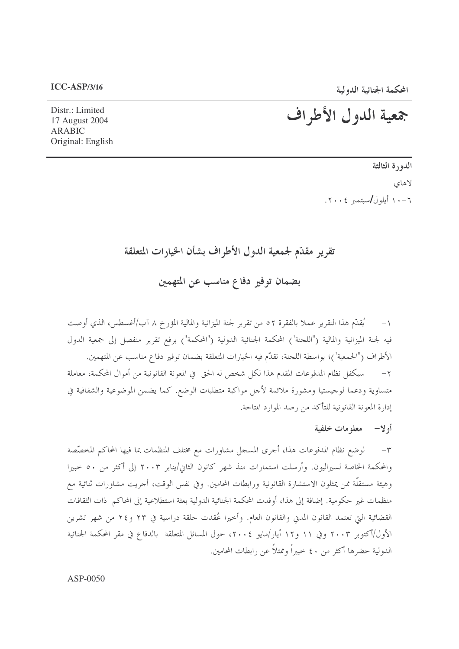المحكمة الجنائية الدولية

# جمعية الدول الأطراف

Distr.: Limited 17 August 2004 **ARABIC** Original: English

> الدورة الثالثة لاهاي ٠٦-١٠ أيلول/سيتمبر ٢٠٠٤.

# تقرير مقدّم لجمعية الدول الأطراف بشأن الخيارات المتعلقة

بضمان توفير دفاع مناسب عن المتهمين

يُقدِّم هذا التقرير عملاً بالفقرة ٥٢ من تقرير لجنة الميزانية والمالية المؤرخ ٨ آب/أغسطس، الذي أوصت  $-1$ فيه لجنة الميزانية والمالية ("اللجنة") المحكمة الجنائية الدولية ("المحكمة") برفع تقرير منفصل إلى جمعية الدول الأطراف ("الجمعية")؛ بواسطة اللجنة، تقلُّم فيه الخيارات المتعلقة بضمان توفير دفاع مناسب عن المتهمين. سيكفل نظام المدفوعات المقدم هذا لكل شخص له الحق في المعونة القانونية من أموال المحكمة، معاملة  $-7$ متساوية ودعما لوجيستيا ومشورة ملائمة لأجل مواكبة متطلبات الوضع. كما يضمن الموضوعية والشفافية في إدارة المعونة القانونية للتأكد من رصد الموارد المتاحة.

### أولا— معلومات خلفية

٣- لوضع نظام المدفوعات هذا، أجرى المسجل مشاورات مع مختلف المنظمات بما فيها المحاكم المخصَّصة والمحكمة الخاصة لسيراليون. وأرسلت استمارات منذ شهر كانون الثاني/يناير ٢٠٠٣ إلى أكثر من ٥٠ حبيرا وهيئة مستقلَّة ممن يمثلون الاستشارة القانونية ورابطات المحامين. وفي نفس الوقت، أجريت مشاورات ثنائية مع منظمات غير حكومية. إضافة إلى هذا، أوفدت المحكمة الجنائية الدولية بعثة استطلاعية إلى المحاكم ذات الثقافات القضائية التي تعتمد القانون المدن والقانون العام. وأخيرا عُقدت حلقة دراسية في ٢٣ و٢٤ من شهر تشرين الأول/أكتوبر ٢٠٠٣ وفي ١١ و١٢ أيار/مايو ٢٠٠٤، حول المسائل المتعلقة بالدفاع في مقر المحكمة الجنائية الدولية حضرها أكثر من ٤٠ حبيراً وممثلاً عن رابطات المحامين.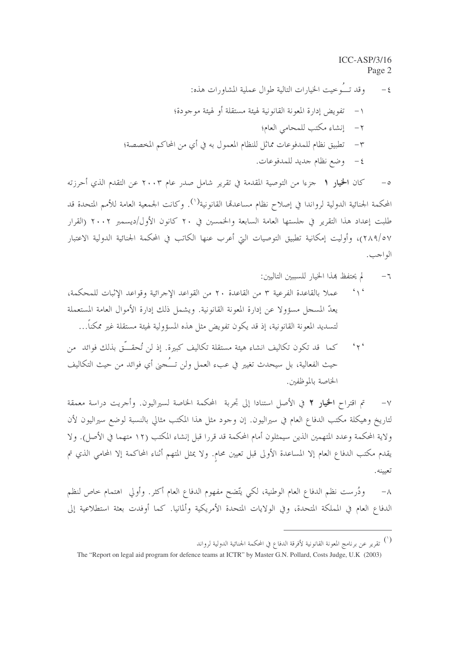١ – تفويض إدارة المعونة القانونية لهيئة مستقلة أو لهيئة موجودة؟ ٢- إنشاء مكتب للمحامي العام؛ ٣ – تطبيق نظام للمدفوعات مماثل للنظام المعمول به في أي من المحاكم المخصصة؛ ٤- وضع نظام جديد للمدفوعات.

كان الخيار 1 حزءا من التوصية المقدمة في تقرير شامل صدر عام ٢٠٠٣ عن التقدم الذي أحرزته  $-\circ$ المحكمة الجنائية الدولية لرواندا في إصلاح نظام مساعدتما القانونية<sup>(١)</sup>. وكانت الجمعية العامة للأمم المتحدة قد طلبت إعداد هذا التقرير في جلستها العامة السابعة والخمسين في ٢٠ كانون الأول/ديسمبر ٢٠٠٢ (القرار ٢٨٩/٥٧)، وأوليت إمكانية تطبيق التوصيات التي أعرب عنها الكاتب في المحكمة الجنائية الدولية الاعتبار الو احب .

- لم يحتفظ هذا الخيار للسببين التاليين:  $-7$
- $6 \sqrt{6}$ عملا بالقاعدة الفرعية ٣ من القاعدة ٢٠ من القواعد الإجرائية وقواعد الإثبات للمحكمة، يعدُّ المسجل مسؤولاً عن إدارة المعونة القانونية. ويشمل ذلك إدارة الأموال العامة المستعملة لتسديد المعونة القانونية، إذ قد يكون تفويض مثل هذه المسؤولية لهيئة مستقلة غير ممكناً…
- كما ٍ قد تكون تكاليف انشاء هيئة مستقلة تكاليف كبيرة. إذ لن تُحقَّــوّ بذلك فوائد ٍ من  $4 + 6$ حيث الفعالية، بل سيحدث تغيير في عبء العمل ولن تـــُـجني أي فوائد من حيث التكاليف الخاصة بالموظفين.

تم اقتراح الخيار ٢ في الأصل استنادا إلى تجربة المحكمة الخاصة لسيراليون. وأجريت دراسة معمقة  $-\vee$ لتاريخ وهيكلة مكتب الدفاع العام في سيراليون. إن وجود مثل هذا المكتب مثالي بالنسبة لوضع سيراليون لأن ولاية المحكمة وعدد المتهمين الذين سيمثلون أمام المحكمة قد قررا قبل إنشاء المكتب (١٢ متهما في الأصل). ولا يقدم مكتب الدفاع العام إلا المساعدة الأولى قبل تعيين محام. ولا يمثل المتهم أثناء المحاكمة إلا المحامى الذي تم تعيينه.

ودُرست نظم الدفاع العام الوطنية، لكي يتَّضح مفهوم الدفاع العام أكثر. وأولى اهتمام حاص لنظم  $-\lambda$ الدفاع العام في المملكة المتحدة، وفي الولايات المتحدة الأمريكية وألمانيا. كما أوفدت بعثة استطلاعية إلى

<sup>(`)</sup> تقرير عن برنامج المعونة القانونية لأفرقة الدفاع في المحكمة الجنائية الدولية لرواند

The "Report on legal aid program for defence teams at ICTR" by Master G.N. Pollard, Costs Judge, U.K (2003)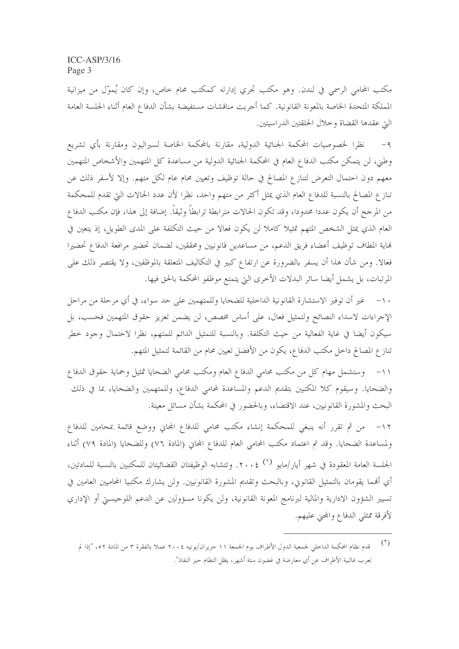مكتب المحامي الرسمي في لندن. وهو مكتب تجرى إدارته كمكتب محام حاص، وإن كان يُموّل من ميزانية المملكة المتحدة الحاصة بالمعونة القانونية. كما أجريت مناقشات مستفيضة بشأن الدفاع العام أثناء الجلسة العامة التي عقدها القضاة وخلال الحلقتين الدراسيتين.

نظرا لخصوصيات المحكمة الجنائية الدولية، مقارنة بالمحكمة الخاصة لسيراليون ومقارنة بأي تشريع  $-9$ وطني، لن يتمكن مكتب الدفاع العام في المحكمة الجنائية الدولية من مساعدة كل المتهمين والأشخاص المتهمين معهم دون احتمال التعرض لتنازع المصالح في حالة توظيف وتعيين محام عام لكل متهم. وإلا لأسفر ذلك عن تنازع المصالح بالنسبة للدفاع العام الذي يمثل أكثر من متهم واحد، نظرا لأن عدد الحالات التي تقدم للمحكمة من المرجح أن يكون عددا محدودا، وقد تكون الحالات مترابطة ترابطاً وثيقاً. إضافة إلى هذا، فإن مكتب الدفاع العام الذي يمثل الشخص المتهم تمثيلا كاملا لن يكون فعالا من حيث التكلفة على المدى الطويل، إذ يتعين في هاية المطاف توظيف أعضاء فريق الدعم، من مساعدين قانونيين ومحققين، لضمان تحضير مرافعة الدفاع تحضيرا فعالا. ومن شأن هذا أن يسفر بالضرورة عن ارتفاع كبير في التكاليف المتعلقة بالموظفين، ولا يقتصر ذلك على المرتبات، بل يشمل أيضا سائر البدلات الأخرى التي يتمتع موظفو المحكمة بالحق فيها.

١٠ – غير أن توفير الاستشارة القانونية الداخلية للضحايا وللمتهمين على حد سواء، في أي مرحلة من مراحل الإجراءات لاسداء النصائح ولتمثيل فعال، على أساس مخصص، لن يضمن تعزيز حقوق المتهمين فحسب، بل سيكون أيضا في غاية الفعالية من حيث التكلفة. وبالنسبة للتمثيل الدائم للمتهم، نظرا لاحتمال وجود خطر تناز ع المصالح داخل مكتب الدفاع، يكون من الأفضل تعيين محام من القائمة لتمثيل المتهم.

١١- وستشمل مهام كل من مكتب محامي الدفاع العام ومكتب محامي الضحايا تمثيل وحماية حقوق الدفاع والضحايا. وسيقوم كلا المكتبين بتقديم الدعم والمساعدة لمحامى الدفاع، وللمتهمين والضحايا، بما في ذلك البحث والمشورة القانونيين، عند الاقتضاء، وبالحضور في المحكمة بشأن مسائل معينة.

١٢- من ثم تقرر أنه ينبغي للمحكمة إنشاء مكتب محامى للدفاع المحابي ووضع قائمة بمحامين للدفاع ولمساعدة الضحايا. وقد تم اعتماد مكتب المحامي العام للدفاع المحاني (المادة ٧٦) وللضحايا (المادة ٧٩) أثناء الجلسة العامة المعقودة في شهر أيار/مايو (٢) ٢٠٠٤. وتتشابه الوظيفتان القضائيتان للمكتبين بالنسبة للمادتين، أي أفمما يقومان بالتمثيل القانوني، وبالبحث وتقديم المشورة القانونيين. ولن يشارك مكتبيا المحاميين العامين في تسيير الشؤون الادارية والمالية لبرنامج المعونة القانونية، ولن يكونا مسؤولين عن الدعم اللوجيستي أو الإداري لأفرقة ممثلي الدفاع والمحني عليهم.

 $(1)$ قدم نظام المحكمة الداخلي لجمعية الدول الأطراف يوم الجمعة ١١ حزيران/يونيه ٢٠٠٤ عملا بالفقرة ٣ من المادة ٥٢، "إذا لم تعرب غالبية الأطراف عن أي معارضة في غضون ستة أشهر، يظل النظام حيز النفاذ".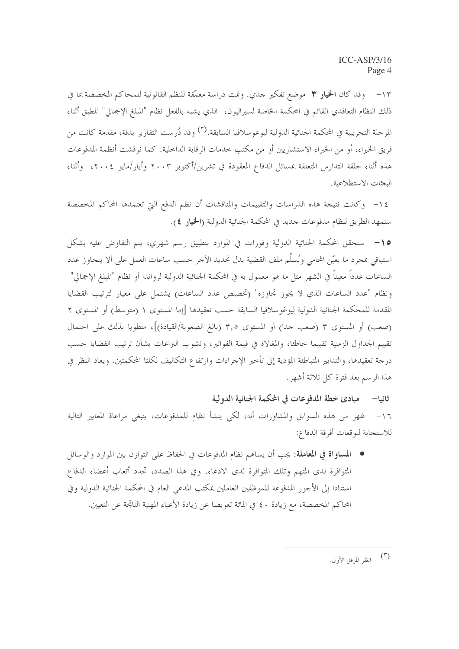١٣ – وقد كان ا**لخيار ٣** موضع تفكير حدي. وتمت دراسة معمّقة للنظم القانونية للمحاكم المخصصة بما في ذلك النظام التعاقدي القائم في المحكمة الخاصة لسيراليون، الذي يشبه بالفعل نظام "المبلغ الإجمالي" المطبق أثناء المرحلة التجريبية في المحكمة الجنائية الدولية ليوغوسلافيا السابقة.<sup>(٣)</sup> وقد دُرست التقارير بدقة، مقدمة كانت من فريق الخبراء، أو من الخبراء الاستشاريين أو من مكتب حدمات الرقابة الداخلية. كما نوقشت أنظمة المدفوعات هذه أثناء حلقة التدارس المتعلقة بمسائل الدفاع المعقودة في تشرين/أكتوبر ٢٠٠٣ وأيار/مايو ٢٠٠٤، وأثناء البعثات الاستطلاعية.

١٤ - وكانت نتيجة هذه الدراسات والتقييمات والمناقشات أن نظم الدفع التي تعتمدها المحاكم المخصصة ستمهد الطريق لنظام مدفوعات جديد في المحكمة الجنائية الدولية (الحجار ٤).

0 1– ستحقق المحكمة الجنائية الدولية وفورات في الموارد بتطبيق رسم شهري، يتم التفاوض عليه بشكل استباقي بمجرد ما يعيّن المحامي ويُسلّم ملف القضية بدل تحديد الأجر حسب ساعات العمل على ألا يتجاوز عدد الساعات عدداً معيناً في الشهر مثل ما هو معمول به في المحكمة الجنائية الدولية لرواندا أو نظام "المبلغ الإجمالي" ونظام "عدد الساعات الذي لا يجوز تحاوزه" (تخصيص عدد الساعات) يشتمل على معيار لترتيب القضايا المقدمة للمحكمة الجنائية الدولية ليوغوسلافيا السابقة حسب تعقيدها [إما المستوى ١ (متوسط) أو المستوى ٢ (صعب) أو المستوى ٣ (صعب جدا) أو المستوى ٣٫٥ (بالغ الصعوبة/القيادة)]، منطويا بذلك على احتمال تقييم الجداول الزمنية تقييما خاطئا، والمغالاة في قيمة الفواتير، ونشوب النزاعات بشأن ترتيب القضايا حسب درجة تعقيدها، والتدابير المتباطئة المؤدية إلى تأخير الإجراءات وارتفاع التكاليف لكلتا المحكمتين. ويعاد النظر في هذا الرسم بعد فترة كل ثلاثة أشهر .

ثانيا— مبادئ خطة المدفوعات في المحكمة الجنائية الدولية ١٦- ظهر من هذه السوابق والمشاورات أنه، لكي ينشأ نظام للمدفوعات، ينبغي مراعاة المعايير التالية للاستجابة لتوقعات أفرقة الدفاع:

● المساواة في المعاملة: يجب أن يساهم نظام المدفوعات في الحفاظ على التوازن بين الموارد والوسائل المتوافرة لدى المتهم وتلك المتوافرة لدى الادعاء. وفي هذا الصدد، تحدد أتعاب أعضاء الدفاع استنادا إلى الأحور المدفوعة للموظفين العاملين بمكتب المدعي العام في المحكمة الجنائية الدولية وفي المحاكم المخصصة، مع زيادة ٤٠ في المائة تعويضا عن زيادة الأعباء المهنية الناتجة عن التعيين.

 $(\mathbf{r})$ انظر المرفق الأول.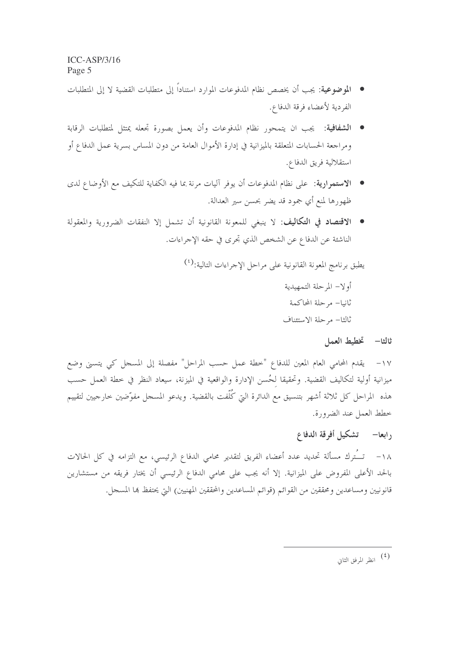- الموضوعية: يجب أن يخصص نظام المدفوعات الموارد استناداً إلى متطلبات القضية لا إلى المتطلبات الفردية لأعضاء فرقة الدفاع.
- ا**لشفافية**: يجب ان يتمحور نظام المدفوعات وأن يعمل بصورة تجعله يمتثل لمتطلبات الرقابة ومراجعة الحسابات المتعلقة بالميزانية في إدارة الأموال العامة من دون المساس بسرية عمل الدفاع أو استقلالية فريق الدفاع.
- الاستمرارية: على نظام المدفوعات أن يوفر آليات مرنة بما فيه الكفاية للتكيف مع الأوضاع لدى ظهورها لمنع أي جمود قد يضر بحسن سير العدالة.
- الاقتصاد في التكاليف: لا ينبغي للمعونة القانونية أن تشمل إلا النفقات الضرورية والمعقولة الناشئة عن الدفاع عن الشخص الذي تجرى في حقه الإجراءات.

يطبق برنامج المعونة القانونية على مراحل الإحراءات التالية:<sup>(٤)</sup>

أولا– المرحلة التمهيدية ثانيا– مرحلة المحاكمة ثالثا– مرحلة الاستئناف

#### ثالثا— تخطيط العمل

١٧ – يقدم المحامى العام المعين للدفاع "خطة عمل حسب المراحل" مفصلة إلى المسجل كبي يتسبى وضع ميزانية أولية لتكاليف القضية. وتحقيقا لحُسن الإدارة والواقعية في الميزنة، سيعاد النظر في خطة العمل حسب هذه المراحل كل ثلاثة أشهر بتنسيق مع الدائرة التي كُلّفت بالقضية. ويدعو المسجل مفوّضين حارجيين لتقييم خطط العمل عند الضرورة.

# رابعا— تشكيل أفرقة الدفاع

١٨− تــُترك مسألة تحديد عدد أعضاء الفريق لتقدير محامي الدفاع الرئيسي، مع التزامه في كل الحالات بالحد الأعلى المفروض على الميزانية. إلا أنه يجب على محامى الدفاع الرئيسي أن يختار فريقه من مستشارين قانونيين ومساعدين ومحققين من القوائم (قوائم المساعدين والمحققين المهنيين) التي يحتفظ ها المسجل.

<sup>(</sup>٤)<br>انظر المرفق الثاني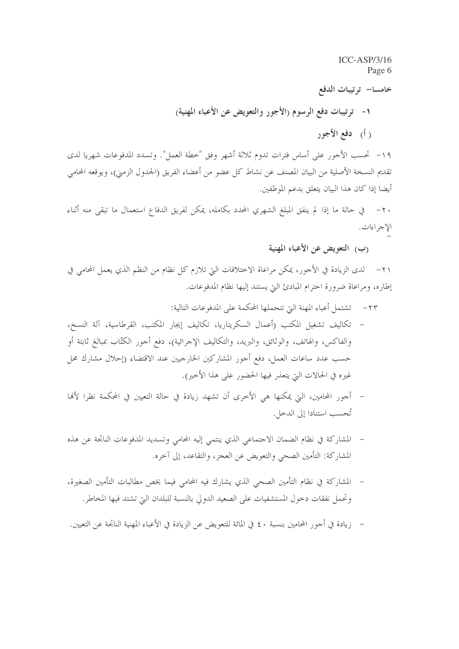خامسا– ترتيبات الدفع

١- ترتيبات دفع الرسوم (الأجور والتعويض عن الأعباء المهنية)

( أ) دفع الأجور

١٩- تحسب الأجور على أساس فترات تدوم ثلاثة أشهر وفق "خطة العمل". وتسدد المدفوعات شهريا لدى تقديم النسخة الأصلية من البيان المصنف عن نشاط كل عضوٍ من أعضاء الفريق (الجدول الزمني)، ويوقعه المحامي أيضا إذا كان هذا البيان يتعلق بدعم الموظفين.

الإجراءات.

(ب) التعويض عن الأعباء المهنية

٢١– لدى الزيادة في الأجور، يمكن مراعاة الاختلافات التي تلازم كل نظام من النظم الذي يعمل المحامي في إطاره، ومراعاة ضرورة احترام المبادئ التي يستند إليها نظام المدفوعات.

- ٢٣– تشتمل أعباء المهنة البيّ تتحملها المحكمة على المدفوعات التالية:
- تكاليف تشغيل المكتب (أعمال السكريتاريا، تكاليف إيجار المكتب، القرطاسية، آلة النسخ،  $\overline{\phantom{a}}$ والفاكس، والهاتف، والوثائق، والبريد، والتكاليف الإجرائية)، دفع أجور الكتّاب بمبالغ ثابتة أو حسب عدد ساعات العمل، دفع أجور المشاركين الخارجيين عند الاقتضاء (إحلال مشارك محل غيره في الحالات التي يتعذر فيها الحضور على هذا الأخير).
- أجور المحامين، التي يمكنها هي الأخرى أن تشهد زيادة في حالة التعيين في المحكمة نظرا لألها تُحسب استنادا إلى الدحل.
- المشاركة في نظام الضمان الاحتماعي الذي ينتمي إليه المحامي وتسديد المدفوعات الناتجة عن هذه المشاركة: التأمين الصحى والتعويض عن العجز، والتقاعد، إلى آخره.
- المشاركة في نظام التأمين الصحى الذي يشارك فيه المحامى فيما يخص مطالبات التأمين الصغيرة، وتحمل نفقات دخول المستشفيات على الصعيد الدولي بالنسبة للبلدان التي تشتد فيها المخاطر.
- زيادة في أجو ر المحامين بنسبة ، ٤ في المائة للتعويض عن الزيادة في الأعباء المهنية الناتجة عن التعيين.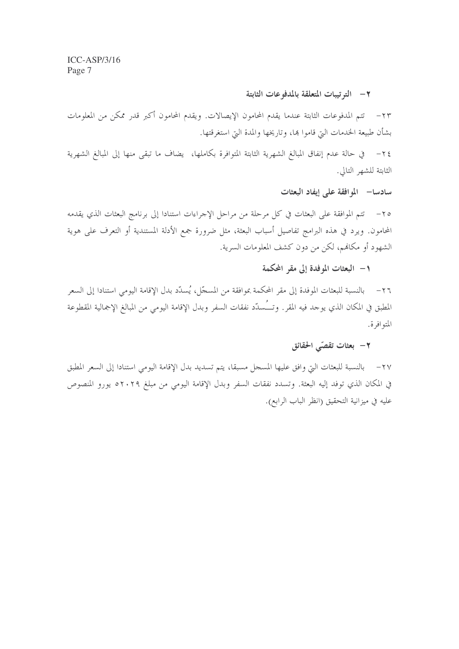#### ٢– الترتيبات المتعلقة بالمدفوعات الثابتة

٢٣– تتم المدفوعات الثابتة عندما يقدم المحامون الإيصالات. ويقدم المحامون أكبر قدر ممكن من المعلومات بشأن طبيعة الخدمات اليّ قاموا هِا، وتاريخها والمدة اليّ استغرقتها.

الثابتة للشهر التالي.

سادسا– الموافقة على إيفاد البعثات

٢٥– تتم الموافقة على البعثات في كل مرحلة من مراحل الإجراءات استنادا إلى برنامج البعثات الذي يقدمه المحامون. ويرد في هذه البرامج تفاصيل أسباب البعثة، مثل ضرورة جمع الأدلة المستندية أو التعرف على هوية الشهود أو مكانهم، لكن من دون كشف المعلومات السرية.

## ١– البعثات الموفدة إلى مقر المحكمة

٢٦– بالنسبة للبعثات الموفدة إلى مقر المحكمة بموافقة من المسجّل، يُسلّد بدل الإقامة اليومي استنادا إلى السعر المطبق في المكان الذي يوجد فيه المقر . وتــُـسدّد نفقات السفر وبدل الإقامة اليومي من المبالغ الإجمالية المقطوعة المتوافرة.

## ۲ – بعثات تقصّى الحقائق

٢٧ – بالنسبة للبعثات التي وافق عليها المسجل مسبقا، يتم تسديد بدل الإقامة اليومي استنادا إلى السعر المطبق في المكان الذي توفد إليه البعثة. وتسدد نفقات السفر وبدل الإقامة اليومي من مبلغ ٢٠٢٩ يورو المنصوص عليه في ميزانية التحقيق (انظر الباب الرابع).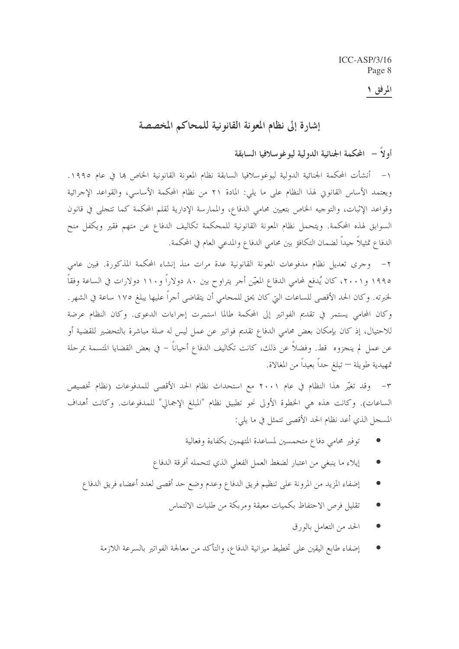## المرفق ۱

## إشارة إلى نظام المعونة القانونية للمحاكم المخصصة

## أولاً – المحكمة الجنائية الدولية ليوغوسلافيا السابقة

١– أنشأت المحكمة الجنائية الدولية ليوغوسلافيا السابقة نظام المعونة القانونية الخاص بما في عام ١٩٩٥. ويعتمد الأساس القانوني لهذا النظام على ما يلي: المادة ٢١ من نظام المحكمة الأساسي، والقواعد الإجرائية وقواعد الإثبات، والتوحيه الخاص بتعيين محامي الدفاع، والممارسة الإدارية لقلم المحكمة كما تتحلى في قانون السوابق لهذه المحكمة. ويتحمل نظام المعونة القانونية للمحكمة تكاليف الدفاع عن متهم فقير ويكفل منح الدفاع تمثيلاً جيداً لضمان التكافؤ بين محامى الدفاع والمدعى العام في المحكمة.

٢– وجرى تعديل نظام مدفوعات المعونة القانونية عدة مرات منذ إنشاء المحكمة المذكورة. فبين عامي ١٩٩٥ و٢٠٠١، كان يُدفع لمحامي الدفاع المعيّن أحر يتراوح بين ٨٠ دولاراً و١١٠ دولارات في الساعة وفقاً لخبرته. وكان الحد الأقصى للساعات التي كان يحق للمحامي أن يتقاضى أجراً عليها يبلغ ١٧٥ ساعة في الشهر. وكان المحامي يستمر في تقديم الفواتير إلى المحكمة طالما استمرت إجراءات الدعوى. وكان النظام عرضة للاحتيال، إذ كان بإمكان بعض محامي الدفاع تقديم فواتير عن عمل ليس له صلة مباشرة بالتحضير للقضية أو عن عمل لم ينجزوه قط. وفضلاً عن ذلك، كانت تكاليف الدفاع أحياناً – في بعض القضايا المتسمة بمرحلة تمهيدية طويلة — تبلغ حداً بعيداً من المغالاة.

٣- وقد تغيَّر هذا النظام في عام ٢٠٠١ مع استحداث نظام الحد الأقصى للمدفوعات (نظام تخصيص الساعات). وكانت هذه هي الخطوة الأولى نحو تطبيق نظام "المبلغ الإجمالي" للمدفوعات. وكانت أهداف المسجل الذي أعد نظام الحد الأقصى تتمثل في ما يلي:

- توفير محامى دفاع متحمسين لمساعدة المتهمين بكفاءة وفعالية
- إيلاء ما ينبغي من اعتبار لضغط العمل الفعلي الذي تتحمله أفرقة الدفاع
- إضفاء المزيد من المرونة على تنظيم فريق الدفاع وعدم وضع حد أقصى لعدد أعضاء فريق الدفاع
	- تقليل فرص الاحتفاظ بكميات معيقة ومربكة من طلبات الالتماس
		- الحد من التعامل بالورق
	- إضفاء طابع اليقين على تخطيط ميزانية الدفاع، والتأكد من معالجة الفواتير بالسرعة اللازمة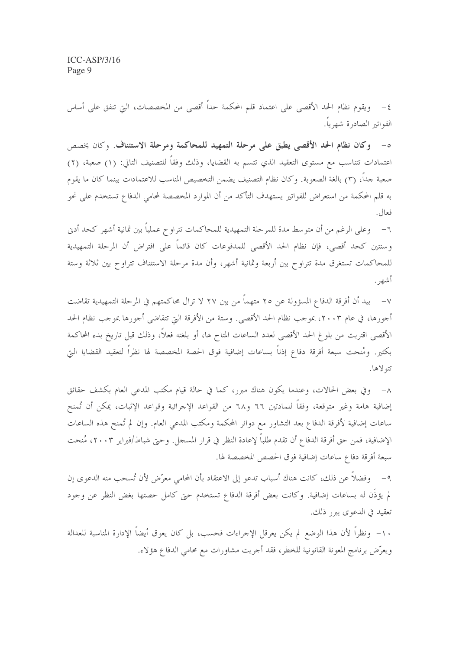٤– ويقوم نظام الحد الأقصى على اعتماد قلم المحكمة حداً أقصى من المخصصات، التي تنفق على أساس الفواتير الصادرة شهرياً.

ه- وكان نظام الحد الأقصى يطبق على مرحلة التمهيد للمحاكمة ومرحلة الاستئناف. وكان يخصص اعتمادات تتناسب مع مستوى التعقيد الذي تتسم به القضايا، وذلك وفقاً للتصنيف التالي: (١) صعبة، (٢) صعبة جداً، (٣) بالغة الصعوبة. وكان نظام التصنيف يضمن التخصيص المناسب للاعتمادات بينما كان ما يقوم به قلم المحكمة من استعراض للفواتير يستهدف التأكد من أن الموارد المخصصة لمحامي الدفاع تستخدم على نحو فعال.

٦- وعلى الرغم من أن متوسط مدة للمرحلة التمهيدية للمحاكمات تتراوح عملياً بين ثمانية أشهر كحد أدن وسنتين كحد أقصى، فإن نظام الحد الأقصى للمدفوعات كان قائماً على افتراض أن المرحلة التمهيدية للمحاكمات تستغرق مدة تتراوح بين أربعة وثمانية أشهر، وأن مدة مرحلة الاستئناف تتراوح بين ثلاثة وستة أشهر .

٧– بيد أن أفرقة الدفاع المسؤولة عن ٢٥ متهماً من بين ٢٧ لا تزال محاكمتهم في المرحلة التمهيدية تقاضت أجورها، في عام ٢٠٠٣، بموجب نظام الحد الأقصى. وستة من الأفرقة التي تتقاضى أجورها بموجب نظام الحد الأقصى اقتربت من بلوغ الحد الأقصى لعدد الساعات المتاح لها، أو بلغته فعلاً، وذلك قبل تاريخ بدء المحاكمة بكثير. ومُنحت سبعة أفرقة دفاع إذناً بساعات إضافية فوق الحصة المخصصة لها نظراً لتعقيد القضايا التي تتولاها.

٨– وفي بعض الحالات، وعندما يكون هناك مبرر، كما في حالة قيام مكتب المدعى العام بكشف حقائق إضافية هامة وغير متوقعة، وفقاً للمادتين ٦٦ و٦٨ من القواعد الإجرائية وقواعد الإثبات، يمكن أن تُمنح ساعات إضافية لأفرقة الدفاع بعد التشاور مع دوائر المحكمة ومكتب المدعى العام. وإن لم تُمنح هذه الساعات الإضافية، فمن حق أفرقة الدفاع أن تقدم طلباً لإعادة النظر في قرار المسحل. وحتى شباط/فبراير ٢٠٠٣، مُنحت سبعة أفرقة دفاع ساعات إضافية فوق الحصص المخصصة لها.

٩– وفضلاً عن ذلك، كانت هناك أسباب تدعو إلى الاعتقاد بأن المحامى معرِّض لأن تُسحب منه الدعوى إن لم يؤذن له بساعات إضافية. وكانت بعض أفرقة الدفاع تستخدم حتى كامل حصتها بغض النظر عن وحود تعقيد في الدعوى يبرر ذلك.

١٠– ونظراً لأن هذا الوضع لم يكن يعرقل الإجراءات فحسب، بل كان يعوق أيضاً الإدارة المناسبة للعدالة ويعرِّض برنامج المعونة القانونية للخطر، فقد أجريت مشاورات مع محامي الدفاع هؤلاء.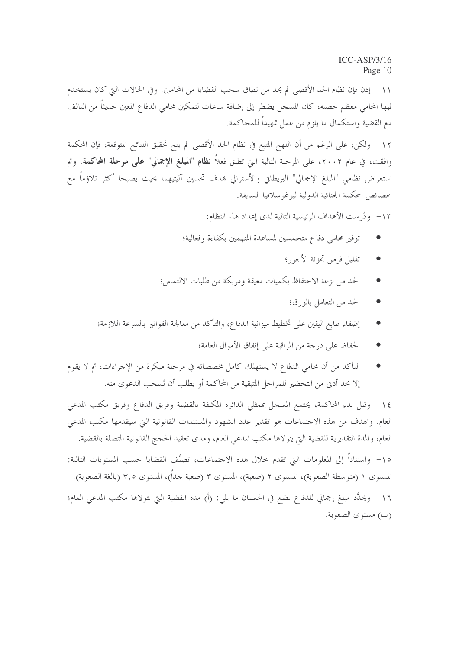١١- إذن فإن نظام الحد الأقصى لم يحد من نطاق سحب القضايا من المحامين. و في الحالات التي كان يستخدم فيها المحامى معظم حصته، كان المسجل يضطر إلى إضافة ساعات لتمكين محامى الدفاع المعين حديثاً من التآلف مع القضية واستكمال ما يلزم من عمل تمهيداً للمحاكمة.

١٢- ولكن، على الرغم من أن النهج المتبع في نظام الحد الأقصى لم يتح تحقيق النتائج المتوقعة، فإن المحكمة وافقت، في عام ٢٠٠٢، على المرحلة التالية التي تطبق فعلاً **نظام "المبلغ الإجمالي" علمي مرحلة المحاكمة**. وتم استعراض نظامي "المبلغ الإجمالي" البريطاني والأسترالي بمدف تحسين آليتيهما بحيث يصبحا أكثر تلاؤماً مع خصائص المحكمة الجنائية الدولية ليوغوسلافيا السابقة.

١٣ - ودُرِ ست الأهداف الرئيسية التالية لدى إعداد هذا النظام:

- توفير محامى دفاع متحمسين لمساعدة المتهمين بكفاءة وفعالية؛
	- تقليل فرص تحزئة الأجو, ؛
- الحد من نزعة الاحتفاظ بكميات معيقة ومربكة من طلبات الالتماس؛
	- الحد من التعامل بالورق؛
- إضفاء طابع اليقين على تخطيط ميزانية الدفاع، والتأكد من معالجة الفواتير بالسرعة اللازمة؛
	- الحفاظ على درجة من المراقبة على إنفاق الأموال العامة؛
- التأكد من أن محامي الدفاع لا يستهلك كامل مخصصاته في مرحلة مبكرة من الإجراءات، ثم لا يقوم إلا بحد أدن من التحضير للمراحل المتبقية من المحاكمة أو يطلب أن تُسحب الدعوى منه.

١٤ – وقبل بدء المحاكمة، يجتمع المسجل بممثلي الدائرة المكلفة بالقضية وفريق الدفاع وفريق مكتب المدعى العام. والهدف من هذه الاحتماعات هو تقدير عدد الشهود والمستندات القانونية التي سيقدمها مكتب المدعي العام، والمدة التقديرية للقضية التي يتولاها مكتب المدعى العام، ومدى تعقيد الحجج القانونية المتصلة بالقضية. ١٥- واستناداً إلى المعلومات التي تقدم حلال هذه الاحتماعات، تصنَّف القضايا حسب المستويات التالية: المستوى ١ (متوسطة الصعوبة)، المستوى ٢ (صعبة)، المستوى ٣ (صعبة جداً)، المستوى ٣,٥ (بالغة الصعوبة). ١٦- ويحدَّد مبلغ إجمالي للدفاع يضع في الحسبان ما يلي: (أ) مدة القضية التي يتولاها مكتب المدعى العام؛ (ب) مستوى الصعوبة.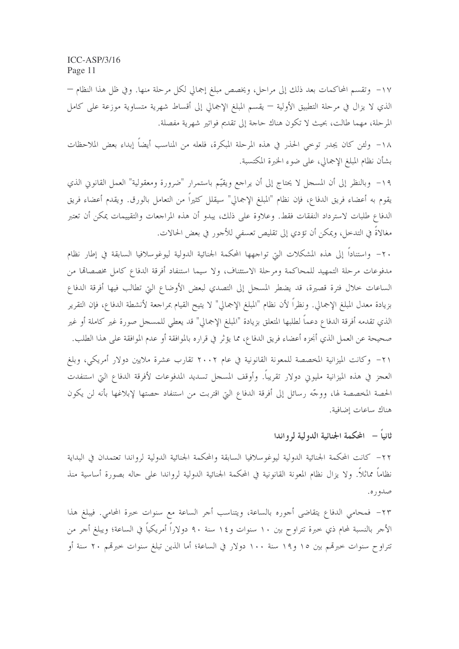١٧- وتقسم المحاكمات بعد ذلك إلى مراحل، ويخصص مبلغ إجمالي لكل مرحلة منها. وفي ظل هذا النظام – الذي لا يزال في مرحلة التطبيق الأولية — يقسم المبلغ الإجمالي إلى أقساط شهرية متساوية موزعة على كامل المرحلة، مهما طالت، بحيث لا تكون هناك حاجة إلى تقديم فواتير شهرية مفصلة.

١٨- ولئن كان يجدر توحى الحذر في هذه المرحلة المبكرة، فلعله من المناسب أيضاً إبداء بعض الملاحظات بشأن نظام المبلغ الإجمالي، على ضوء الخبرة المكتسبة.

١٩- وبالنظر إلى أن المسجل لا يحتاج إلى أن يراجع ويقيّم باستمرار "ضرورة ومعقولية" العمل القانوين الذي يقوم به أعضاء فريق الدفاع، فإن نظام "المبلغ الإجمالي" سيقلل كثيراً من التعامل بالورق. ويقدم أعضاء فريق الدفاع طلبات لاسترداد النفقات فقط. وعلاوة على ذلك، يبدو أن هذه المراجعات والتقييمات يمكن أن تعتبر مغالاةً في التدخل، ويمكن أن تؤدي إلى تقليص تعسفي للأجور في بعض الحالات.

٢٠– واستناداً إلى هذه المشكلات التي تواجهها المحكمة الجنائية الدولية ليوغوسلافيا السابقة في إطار نظام مدفوعات مرحلة التمهيد للمحاكمة ومرحلة الاستئناف، ولا سيما استنفاد أفرقة الدفاع كامل مخصصالها من الساعات خلال فترة قصيرة، قد يضطر المسحل إلى التصدي لبعض الأوضاع التي تطالب فيها أفرقة الدفاع بزيادة معدل المبلغ الإجمالي. ونظرًا لأن نظام "المبلغ الإجمالي" لا يتيح القيام بمراجعة لأنشطة الدفاع، فإن التقرير الذي تقدمه أفرقة الدفاع دعماً لطلبها المتعلق بزيادة "المبلغ الإجمالي" قد يعطي للمسحل صورة غير كاملة أو غير صحيحة عن العمل الذي أنجزه أعضاء فريق الدفاع، مما يؤثر في قراره بالموافقة أو عدم الموافقة على هذا الطلب. ٢١– وكانت الميزانية المخصصة للمعونة القانونية في عام ٢٠٠٢ تقارب عشرة ملايين دولار أمريكي، وبلغ

العجز في هذه الميزانية مليوين دولار تقريباً. وأوقف المسجل تسديد المدفوعات لأفرقة الدفاع التي استنفدت الحصة المخصصة لها، ووجَّه رسائل إلى أفرقة الدفاع التي اقتربت من استنفاد حصتها لإبلاغها بأنه لن يكون هناك ساعات إضافية.

## ثانياً – المحكمة الجنائية الدولية لم واندا

٢٢– كانت المحكمة الجنائية الدولية ليوغوسلافيا السابقة والمحكمة الجنائية الدولية لرواندا تعتمدان في البداية نظاماً مماثلاً. ولا يزال نظام المعونة القانونية في المحكمة الجنائية الدولية لرواندا على حاله بصورة أساسية منذ صدوره.

٢٣– فمحامى الدفاع يتقاضى أجوره بالساعة، ويتناسب أجر الساعة مع سنوات خبرة المحامى. فيبلغ هذا الأحر بالنسبة لمحام ذي حبرة تتراوح بين ١٠ سنوات و١٤ سنة ٩٠ دولاراً أمريكياً في الساعة؛ ويبلغ أحر من تتراوح سنوات حبرهّم بين ١٥ و١٩ سنة ١٠٠ دولار في الساعة؛ أما الذين تبلغ سنوات حبرهّم ٢٠ سنة أو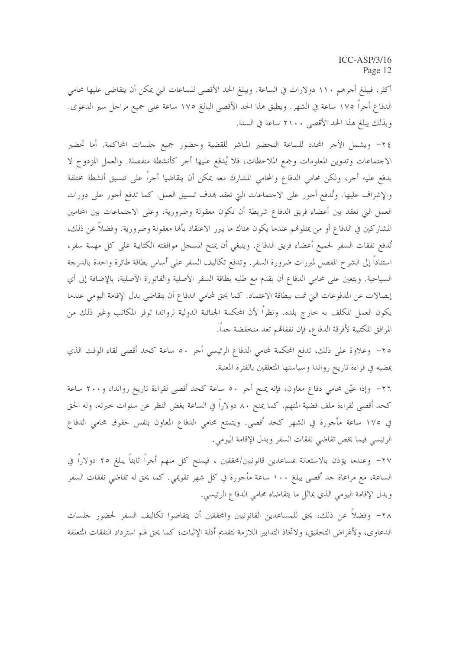أكثر، فيبلغ أجرهم ١١٠ دولارات في الساعة. ويبلغ الحد الأقصى للساعات التي يمكن أن يتقاضى عليها محامى الدفاع أجراً ١٧٥ ساعة في الشهر. ويطبق هذا الحد الأقصى البالغ ١٧٥ ساعة على جميع مراحل سير الدعوى. وبذلك يبلغ هذا الحد الأقصى ٢١٠٠ ساعة في السنة.

٢٤- ويشمل الأجر المحدد للساعة التحضير المباشر للقضية وحضور جميع حلسات المحاكمة. أما تحضير الاجتماعات وتدوين المعلومات وجمع الملاحظات، فلا يُدفع عليها أجر كأنشطة منفصلة. والعمل المزدوج لا يدفع عليه أجر، ولكن محامي الدفاع والمحامي المشارك معه يمكن أن يتقاضيا أجراً على تنسيق أنشطة مختلفة والإشراف عليها. وتُدفع أجور على الاجتماعات التي تعقد بمدف تنسيق العمل. كما تدفع أجور على دورات العمل التي تعقد بين أعضاء فريق الدفاع شريطة أن تكون معقولة وضرورية، وعلى الاجتماعات بين المحامين المشاركين في الدفاع أو من يمثلوهُم عندما يكون هناك ما يبرر الاعتقاد بألها معقولة وضرورية. وفضلاً عن ذلك، تُدفع نفقات السفر لجميع أعضاء فريق الدفاع. وينبغي أن يمنح المسحل موافقته الكتابية على كل مهمة سفر، استناداً إلى الشرح المفصل لمبررات ضرورة السفر. وتدفع تكاليف السفر على أساس بطاقة طائرة واحدة بالدرجة السياحية. ويتعين على محامي الدفاع أن يقدم مع طلبه بطاقة السفر الأصلية والفاتورة الأصلية، بالإضافة إلى أي إيصالات عن المدفوعات التي تمت ببطاقة الاعتماد. كما يحق لمحامي الدفاع أن يتقاضى بدل الإقامة اليومي عندما يكون العمل المكلف به خارج بلده. ونظراً لأن المحكمة الجنائية الدولية لرواندا توفر المكاتب وغير ذلك من المرافق المكتبية لأفرقة الدفاع، فإن نفقاتمم تعد منخفضة حداً.

٢٥- وعلاوة على ذلك، تدفع المحكمة لمحامي الدفاع الرئيسي أجر ٥٠ ساعة كحد أقصى لقاء الوقت الذي يمضيه في قراءة تاريخ رواندا وسياستها المتعلقين بالفترة المعنية.

٢٦- وإذا عيّن محامى دفاع معاون، فإنه يمنح أجر ٥٠ ساعة كحد أقصى لقراءة تاريخ رواندا، و٢٠٠ ساعة كحد أقصى لقراءة ملف قضية المتهم. كما يمنح ٨٠ دولاراً في الساعة بغض النظر عن سنوات خبرته، وله الحق في ١٧٥ ساعة مأجورة في الشهر كحد أقصى. ويتمتع محامي الدفاع المعاون بنفس حقوق محامي الدفاع الرئيسي فيما يخص تقاضي نفقات السفر وبدل الإقامة اليومي.

٢٧– وعندما يؤذن بالاستعانة بمساعدين قانونيين/محققين ، فيمنح كل منهم أجراً ثابتاً يبلغ ٢٥ دولاراً في الساعة، مع مراعاة حد أقصى يبلغ ١٠٠ ساعة مأجورة في كل شهر تقويمي. كما يحق له تقاضى نفقات السفر وبدل الإقامة اليومي الذي يماثل ما يتقاضاه محامى الدفاع الرئيسي.

٢٨– وفضلاً عن ذلك، يحق للمساعدين القانونيين والمحققين أن يتقاضوا تكاليف السفر لحضور حلسات الدعاوى، ولأغراض التحقيق، ولاتخاذ التدابير اللازمة لتقديم أدلة الإثبات؛ كما يحق لهم استرداد النفقات المتعلقة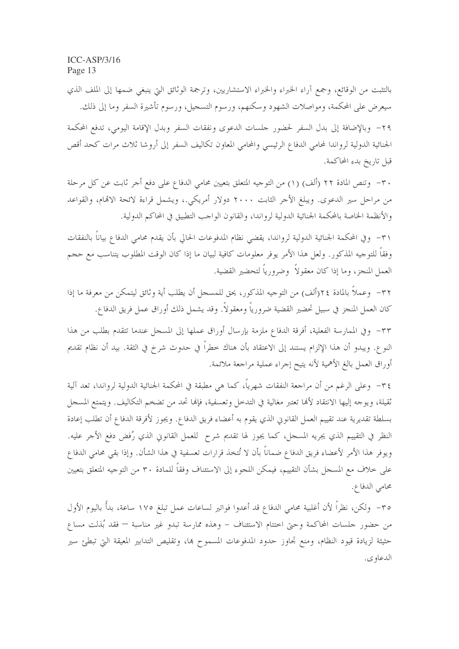بالتثبت من الوقائع، وجمع آراء الخبراء والخبراء الاستشاريين، وترجمة الوثائق التي ينبغي ضمها إلى الملف الذي سيعرض على المحكمة، ومواصلات الشهود وسكنهم، ورسوم التسجيل، ورسوم تأشيرة السفر وما إلى ذلك. ٢٩- وبالإضافة إلى بدل السفر لحضور جلسات الدعوى ونفقات السفر وبدل الإقامة اليومي، تدفع المحكمة الجنائية الدولية لرواندا لمحامي الدفاع الرئيسي والمحامي المعاون تكاليف السفر إلى أروشا ثلاث مرات كحد أقص قبل تاريخ بدء المحاكمة.

٣٠ - وتنص المادة ٢٢ (ألف) (١) من التوجيه المتعلق بتعيين محامي الدفاع على دفع أجر ثابت عن كل مرحلة من مراحل سير الدعوى. ويبلغ الأحر الثابت ٢٠٠٠ دولار أمريكي.، ويشمل قراءة لائحة الاقمام، والقواعد والأنظمة الخاصة بالمحكمة الجنائية الدولية لرواندا، والقانون الواحب التطبيق في المحاكم الدولية.

٣١– وفي المحكمة الجنائية الدولية لرواندا، يقضي نظام المدفوعات الحالي بأن يقدم محامى الدفاع بياناً بالنفقات وفقاً للتوجيه المذكور. ولعل هذا الأمر يوفر معلومات كافية لبيان ما إذا كان الوقت المطلوب يتناسب مع حجم العمل المنجز، وما إذا كان معقولاً ۖ وضرورياً لتحضير القضية.

٣٢- وعملاً بالمادة ٢٤(ألف) من التوجيه المذكور، يحق للمسجل أن يطلب أية وثائق ليتمكن من معرفة ما إذا كان العمل المنجز في سبيل تحضير القضية ضرورياً ومعقولاً. وقد يشمل ذلك أوراق عمل فريق الدفاع.

٣٣- وفي الممارسة الفعلية، أفرقة الدفاع ملزمة بإرسال أوراق عملها إلى المسجل عندما تتقدم بطلب من هذا النوع. ويبدو أن هذا الإلزام يستند إلى الاعتقاد بأن هناك خطراً في حدوث شرخ في الثقة. بيد أن نظام تقديم أوراق العمل بالغ الأهمية لأنه يتيح إجراء عملية مراجعة ملائمة.

٣٤– وعلى الرغم من أن مراجعة النفقات شهرياً، كما هي مطبقة في المحكمة الجنائية الدولية لرواندا، تعد آلية ثقيلة، ويوجه إليها الانتقاد لألها تعتبر مغالية في التدحل وتعسفية، فإلها تحد من تضخم التكاليف. ويتمتع المسجل بسلطة تقديرية عند تقييم العمل القانوني الذي يقوم به أعضاء فريق الدفاع. ويجوز لأفرقة الدفاع أن تطلب إعادة النظر في التقييم الذي يجريه المسحل، كما يجوز لها تقديم شرح للعمل القانوني الذي رُفض دفع الأحر عليه. ويوفر هذا الأمر لأعضاء فريق الدفاع ضماناً بأن لا تُتخذ قرارات تعسفية في هذا الشأن. وإذا بقى محامى الدفاع على حلاف مع المسجل بشأن التقييم، فيمكن اللجوء إلى الاستئناف وفقاً للمادة ٣٠ من التوجيه المتعلق بتعيين محامى الدفاع.

٣٥– ولكن، نظراً لأن أغلبية محامي الدفاع قد أعدوا فواتير لساعات عمل تبلغ ١٧٥ ساعة، بدأً باليوم الأول من حضور جلسات المحاكمة وحتى اختتام الاستئناف – وهذه ممارسة تبدو غير مناسبة — فقد بُذلت مساع حثيثة لزيادة قيود النظام، ومنع تجاوز حدود المدفوعات المسموح ها، وتقليص التدابير المعيقة التي تبطئ سير الدعاوي.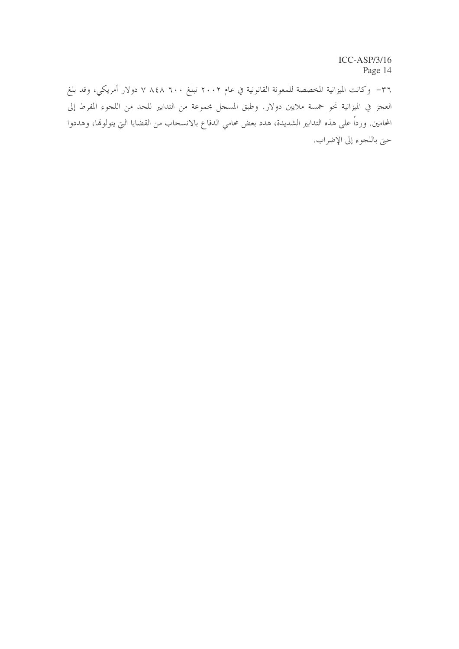٣٦– وكانت الميزانية المخصصة للمعونة القانونية في عام ٢٠٠٢ تبلغ ٢٠٠ ٨٤٨ ٧ دولار أمريكي، وقد بلغ العجز في الميزانية نحو لحمسة ملايين دولار. وطبق المسجل مجموعة من التدابير للحد من اللجوء المفرط إلى المحامين. ورداً على هذه التدابير الشديدة، هدد بعض محامي الدفاع بالانسحاب من القضايا التي يتولوها، وهددوا حتى باللجوء إلى الإضراب.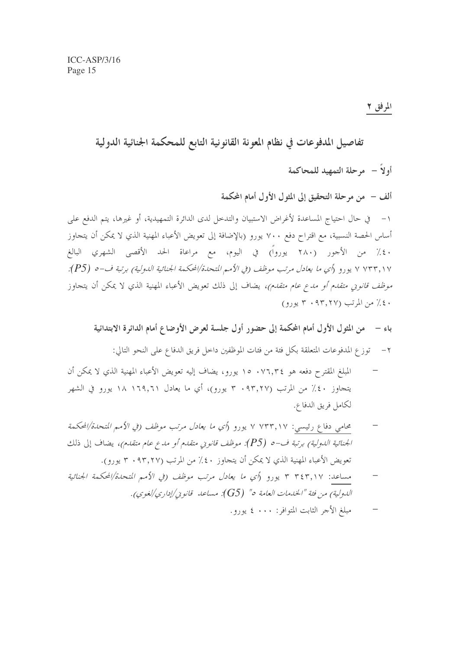تفاصيل المدفوعات في نظام المعونة القانونية التابع للمحكمة الجنائية الدولية أولاً – مرحلة التمهيد للمحاكمة ألف – ً من مرحلة التحقيق إلى المثول الأول أمام المحكمة أساس الحصة النسبية، مع اقتراح دفع ٧٠٠ يورو (بالإضافة إلى تعويض الأعباء المهنية الذي لا يمكن أن يتجاوز ٤٠٪ من الأجور (٢٨٠ يورواً) في اليوم، مع مراعاة الحد الأقصى الشهري البالغ ٧ ٧٣٣,١٧ يورو (أي ما يعادل مرتب موظف (في الأمم المتحدة/المحكمة الجنائية الدولية) برتبة ف-٥ (P5): *موظف قانونى متقدم أو مدع عام متقدم)،* يضاف إلى ذلك تعويض الأعباء المهنية الذي لا يمكن أن يتجاوز ٤٠٪ من المرتب (٣٠٩٣٠ ٣ يورو)

باء – من المثول الأول أمام المحكمة إلى حضور أول جلسة لعرض الأوضاع أمام الدائرة الابتدائية ٢ – توزع المدفوعات المتعلقة بكل فئة من فئات الموظفين داخل فريق الدفاع على النحو التالي:

- المبلغ المقترح دفعه هو ٧٦,٣٤ ١٥ يورو، يضاف إليه تعويض الأعباء المهنية الذي لا يمكن أن يتجاوز ٤٠٪ من المرتب (٣٠٩٣,٢٧ يورو)، أي ما يعادل ١٦٩,٦١ ١٨ يورو في الشهر لكامل فريق الدفاع.
- محامي دفاع رئيسي: ٧ ٧٣٣,١٧ با يورو (*أي ما يعادل مرتب موظف (في الأمم المتحدة/المحكمة* الجنائية الدولية) برتبة ف-0 (P5): موظف قانوين متقدم أو مدع عام متقدم)، يضاف إلى ذلك تعويض الأعباء المهنية الذي لا يمكن أن يتجاوز ٤٠٪ من المرتب (٩٣,٢٧ · ٣ يورو).
- مساعد: ٣٤٣,١٧ ٣ يورو (أي ما يعادل مرتب موظف (في الأميم المتحدة/المحكمة الجنائية اللهولية) من فئة "الخدمات العامة ٥" (G5): مساعد قانو بي/إداري/لغوي).
	- مبلغ الأجر الثابت المتوافر : • ٤ يورو .  $\frac{1}{2}$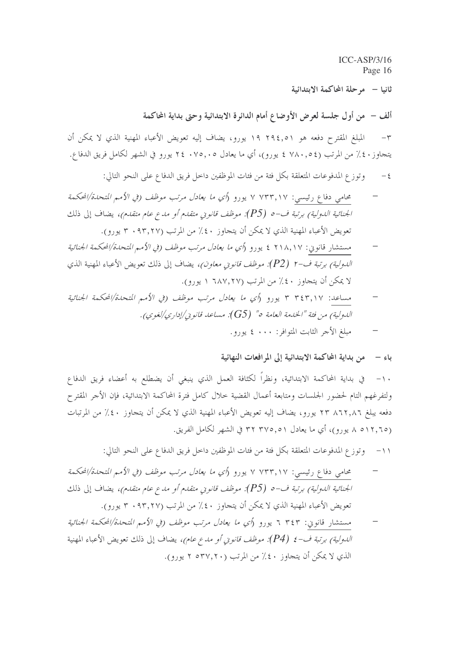$ICC-ASP/3/16$ Page 16 ثانيا – مرحلة المحاكمة الابتدائية

ألف – من أول جلسة لعرض الأوضاع أمام الدائرة الابتدائية وحتى بداية المحاكمة

المبلغ المقترح دفعه هو ٢٩٤,٥١ يورو، يضاف إليه تعويض الأعباء المهنية الذي لا يمكن أن  $-\tau$ يتجاوز ٤٠٪ من المرتب (٧٨٠,٥٤ ٤ يورو)، أي ما يعادل ٢٤٠٧٥,٠٥ تورو في الشهر لكامل فريق الدفاع.

- وتوزع المدفوعات المتعلقة بكلِّ فئة من فئات الموظفين داخل فريق الدفاع على النحو التالي:  $-5$
- محامي دفاع رئيسي: ٧ ٧٣٣,١٧ ٧ يورو (*أي ما يعادل مرتب موظف (في الأمم المتحدة/المحك*مة الجنائية الدولية) برتبة ف-0 (P5): موظف قانوين متقدم أو مدع عام متقدم)، يضاف إلى ذلك تعويض الأعباء المهنية الذي لا يمكن أن يتجاوز ٤٠٪ من المرتب (٩٣,٢٧ · ٣ يورو).
- مستشار قانوني: ٢١٨,١٧ ٤ يورو (أي ما يعادل مرتب موظف (في الأمم المتحدة/المحكمة الجنائية ا*لدولية) برتبة ف-٢ (P2): موظف قانوني معاون)،* يضاف إلى ذلك تعويض الأعباء المهنية الذي لا يمكن أن يتجاوز ٤٠٪ من المرتب (٦٨٧,٢٧ ١ يورو).
- مساعد: ٣٤٣,١٧ ٣ يورو (أي ما يعادل مرتب موظف (في الأمم المتحدة/المحكمة الجنائية اللهولية) من فئة "الخليفة العامة ٥" (G5): مساعد قانو بي/إداري/لغوي).
	- مبلغ الأحر الثابت المتوافر: ٠٠٠ ٤ يورو.

## باء – من بداية المحاكمة الابتدائية إلى المرافعات النهائية

ولتفرغهم التام لحضور الجلسات ومتابعة أعمال القضية حلال كامل فترة المحاكمة الابتدائية، فإن الأجر المقترح دفعه يبلغ ٨٦٢,٨٦ ٢٣ يورو، يضاف إليه تعويض الأعباء المهنية الذي لا يمكن أن يتجاوز ٤٠٪ من المرتبات (٥١٢,٦٥ ٨ يورو)، أي ما يعادل ٣٧٥,٥١ ٣٢ في الشهر لكامل الفريق.

- ١١– وتوزع المدفوعات المتعلقة بكل فئة من فئات الموظفين داخل فريق الدفاع على النحو التالي:
- محامي دفاع رئيسي: ٧ ٧٣٣,١٧ ٧ يورو (*أي ما يعادل مرتب موظف (في الأمم المتحدة/المحكمة* الجنائية الدولية) برتبة ف-0 (P5): موظف قانوين متقدم أو مدع عام متقدم)، يضاف إلى ذلك تعويض الأعباء المهنية الذي لا يمكن أن يتجاوز ٤٠٪ من المرتب (٩٣,٢٧ × يورو).
- مستشار قانوني: ٢٤٣ ٦ يورو (*أي ما يعادل مرتب موظف (في الأمم المتحدة/المحكمة الجنائية اللهولية) برتبة ف-٤ (P4): موظف قانو بي أو مدع عام)،* يضاف إلى ذلك تعويض الأعباء المهنية الذي لا يمكن أن يتحاوز ٤٠٪ من المرتب (٢٠٧,٢٠ ٢ يورو).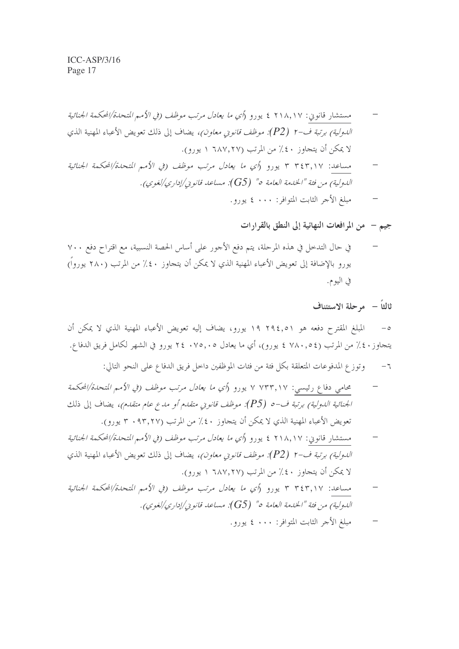جيم – ً من المرافعات النهائية إلى النطق بالقرارات

في حال التدخل في هذه المرحلة، يتم دفع الأجور على أساس الحصة النسبية، مع اقتراح دفع ٧٠٠ يورو بالإضافة إلى تعويض الأعباء المهنية الذي لا يمكن أن يتجاوز ٤٠٪ من المرتب (٢٨٠ يورواً) في اليوم.

ثالثاً – موحلة الاستئناف

المبلغ المقترح دفعه هو ٢٩٤,٥١ يورو، يضاف إليه تعويض الأعباء المهنية الذي لا يمكن أن  $-\circ$ يتجاوز ٤٠٪ من المرتب (٧٨٠,٥٤ ٤ يورو)، أي ما يعادل ٢٤٠٧٥,٠٥ تيورو في الشهر لكامل فريق الدفاع.

- وتوزع المدفوعات المتعلقة بكل فئة من فئات الموظفين داخل فريق الدفاع على النحو التالي:  $-7$
- محامي دفاع رئيسي: ٧ ٧٣٣,١٧ يورو (أي ما يعادل مرتب موظف (في الأمم المتحلة/المحكمة الجنائية الدولية) برتبة ف-0 (P5): موظف قانوين متقدم أو مدع عام متقدم)، يضاف إلى ذلك تعويض الأعباء المهنية الذي لا يمكن أن يتجاوز ٤٠٪ من المرتب (٩٣,٢٧ · ٣ يورو).
- مستشار قانوني: ٢١٨,١٧ ٤ يورو (أي ما يعادل مرتب موظف (في الأمم المتحدة/المحكمة الجنائية *الدولية) برتبة ف-٢ (P2): موظف قانو بي معاون)،* يضاف إلى ذلك تعويض الأعباء المهنية الذي لا يمكن أن يتجاوز ٤٠٪ من المرتب (٦٨٧,٢٧ ١ يورو).
- مساعد: ٣٤٣,١٧ ٣ يورو (أي ما يعادل مرتب موظف (في الأميم المتحدة/المحكمة الجنائية اللهولية) من فئة "الخلهة العامة ٥" (G5): مساعد قانو بي/إداري/لغوي).
	- مبلغ الأجر الثابت المتوافر : • ٤ يورو .